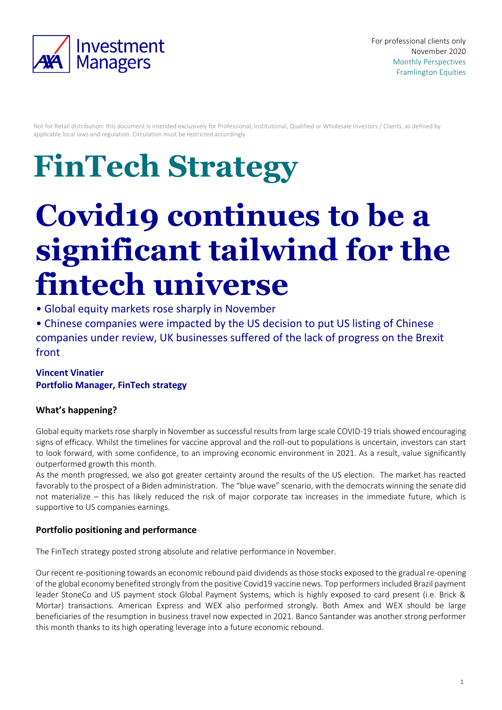

Not for Retail distribution: this document is intended exclusively for Professional, Institutional, Qualified or Wholesale Investors / Clients, as defined by applicable local laws and regulation. Circulation must be restricted accordingly

# **FinTech Strategy**

## **Covid19 continues to be a significant tailwind for the fintech universe**

- Global equity markets rose sharply in November
- Chinese companies were impacted by the US decision to put US listing of Chinese companies under review, UK businesses suffered of the lack of progress on the Brexit front

#### **Vincent Vinatier Portfolio Manager, FinTech strategy**

### **What's happening?**

Global equity markets rose sharply in November as successful results from large scale COVID-19 trials showed encouraging signs of efficacy. Whilst the timelines for vaccine approval and the roll-out to populations is uncertain, investors can start to look forward, with some confidence, to an improving economic environment in 2021. As a result, value significantly outperformed growth this month.

As the month progressed, we also got greater certainty around the results of the US election. The market has reacted favorably to the prospect of a Biden administration. The "blue wave" scenario, with the democrats winning the senate did not materialize – this has likely reduced the risk of major corporate tax increases in the immediate future, which is supportive to US companies earnings.

#### **Portfolio positioning and performance**

The FinTech strategy posted strong absolute and relative performance in November.

Our recent re-positioning towards an economic rebound paid dividends as those stocks exposed to the gradual re-opening of the global economy benefited strongly from the positive Covid19 vaccine news. Top performers included Brazil payment leader StoneCo and US payment stock Global Payment Systems, which is highly exposed to card present (i.e. Brick & Mortar) transactions. American Express and WEX also performed strongly. Both Amex and WEX should be large beneficiaries of the resumption in business travel now expected in 2021. Banco Santander was another strong performer this month thanks to its high operating leverage into a future economic rebound.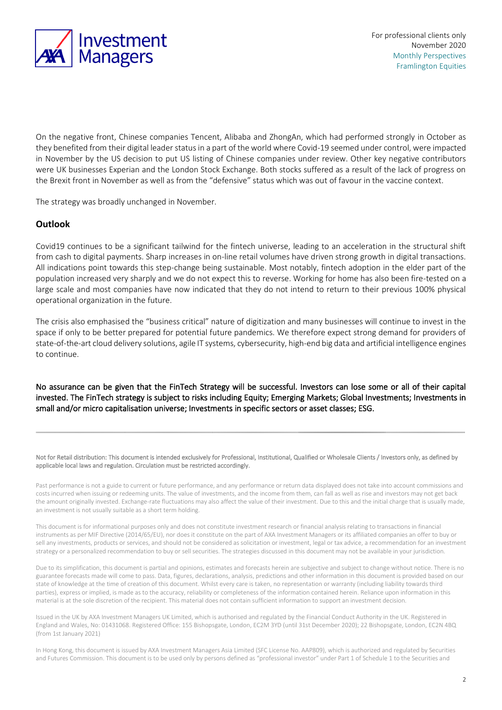

On the negative front, Chinese companies Tencent, Alibaba and ZhongAn, which had performed strongly in October as they benefited from their digital leader status in a part of the world where Covid-19 seemed under control, were impacted in November by the US decision to put US listing of Chinese companies under review. Other key negative contributors were UK businesses Experian and the London Stock Exchange. Both stocks suffered as a result of the lack of progress on the Brexit front in November as well as from the "defensive" status which was out of favour in the vaccine context.

The strategy was broadly unchanged in November.

#### **Outlook**

Covid19 continues to be a significant tailwind for the fintech universe, leading to an acceleration in the structural shift from cash to digital payments. Sharp increases in on-line retail volumes have driven strong growth in digital transactions. All indications point towards this step-change being sustainable. Most notably, fintech adoption in the elder part of the population increased very sharply and we do not expect this to reverse. Working for home has also been fire-tested on a large scale and most companies have now indicated that they do not intend to return to their previous 100% physical operational organization in the future.

The crisis also emphasised the "business critical" nature of digitization and many businesses will continue to invest in the space if only to be better prepared for potential future pandemics. We therefore expect strong demand for providers of state-of-the-art cloud delivery solutions, agile IT systems, cybersecurity, high-end big data and artificial intelligence engines to continue.

No assurance can be given that the FinTech Strategy will be successful. Investors can lose some or all of their capital invested. The FinTech strategy is subject to risks including Equity; Emerging Markets; Global Investments; Investments in small and/or micro capitalisation universe; Investments in specific sectors or asset classes; ESG.

Not for Retail distribution: This document is intended exclusively for Professional, Institutional, Qualified or Wholesale Clients / Investors only, as defined by applicable local laws and regulation. Circulation must be restricted accordingly.

Past performance is not a guide to current or future performance, and any performance or return data displayed does not take into account commissions and costs incurred when issuing or redeeming units. The value of investments, and the income from them, can fall as well as rise and investors may not get back the amount originally invested. Exchange-rate fluctuations may also affect the value of their investment. Due to this and the initial charge that is usually made, an investment is not usually suitable as a short term holding.

This document is for informational purposes only and does not constitute investment research or financial analysis relating to transactions in financial instruments as per MIF Directive (2014/65/EU), nor does it constitute on the part of AXA Investment Managers or its affiliated companies an offer to buy or sell any investments, products or services, and should not be considered as solicitation or investment, legal or tax advice, a recommendation for an investment strategy or a personalized recommendation to buy or sell securities. The strategies discussed in this document may not be available in your jurisdiction.

Due to its simplification, this document is partial and opinions, estimates and forecasts herein are subjective and subject to change without notice. There is no guarantee forecasts made will come to pass. Data, figures, declarations, analysis, predictions and other information in this document is provided based on our state of knowledge at the time of creation of this document. Whilst every care is taken, no representation or warranty (including liability towards third parties), express or implied, is made as to the accuracy, reliability or completeness of the information contained herein. Reliance upon information in this material is at the sole discretion of the recipient. This material does not contain sufficient information to support an investment decision.

Issued in the UK by AXA Investment Managers UK Limited, which is authorised and regulated by the Financial Conduct Authority in the UK. Registered in England and Wales, No: 01431068. Registered Office: 155 Bishopsgate, London, EC2M 3YD (until 31st December 2020); 22 Bishopsgate, London, EC2N 4BQ (from 1st January 2021)

In Hong Kong, this document is issued by AXA Investment Managers Asia Limited (SFC License No. AAP809), which is authorized and regulated by Securities and Futures Commission. This document is to be used only by persons defined as "professional investor" under Part 1 of Schedule 1 to the Securities and